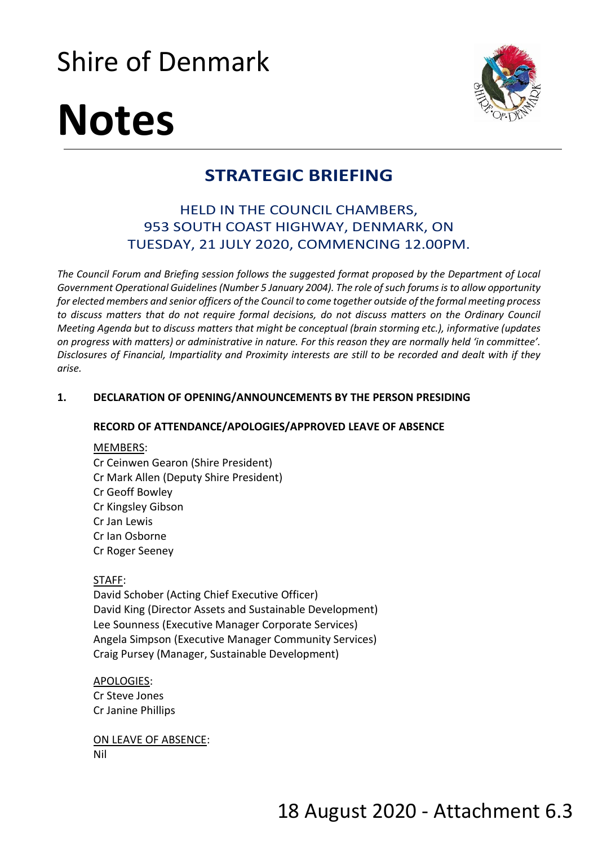## Shire of Denmark



# **Notes**

### **STRATEGIC BRIEFING**

#### HELD IN THE COUNCIL CHAMBERS, 953 SOUTH COAST HIGHWAY, DENMARK, ON TUESDAY, 21 JULY 2020, COMMENCING 12.00PM.

*The Council Forum and Briefing session follows the suggested format proposed by the Department of Local Government Operational Guidelines (Number 5 January 2004). The role of such forums is to allow opportunity for elected members and senior officers of the Council to come together outside of the formal meeting process to discuss matters that do not require formal decisions, do not discuss matters on the Ordinary Council Meeting Agenda but to discuss matters that might be conceptual (brain storming etc.), informative (updates on progress with matters) or administrative in nature. For this reason they are normally held 'in committee'. Disclosures of Financial, Impartiality and Proximity interests are still to be recorded and dealt with if they arise.* 

#### **1. DECLARATION OF OPENING/ANNOUNCEMENTS BY THE PERSON PRESIDING**

#### **RECORD OF ATTENDANCE/APOLOGIES/APPROVED LEAVE OF ABSENCE**

#### MEMBERS:

Cr Ceinwen Gearon (Shire President) Cr Mark Allen (Deputy Shire President) Cr Geoff Bowley Cr Kingsley Gibson Cr Jan Lewis Cr Ian Osborne Cr Roger Seeney

#### STAFF:

David Schober (Acting Chief Executive Officer) David King (Director Assets and Sustainable Development) Lee Sounness (Executive Manager Corporate Services) Angela Simpson (Executive Manager Community Services) Craig Pursey (Manager, Sustainable Development)

APOLOGIES: Cr Steve Jones Cr Janine Phillips

ON LEAVE OF ABSENCE: Nil